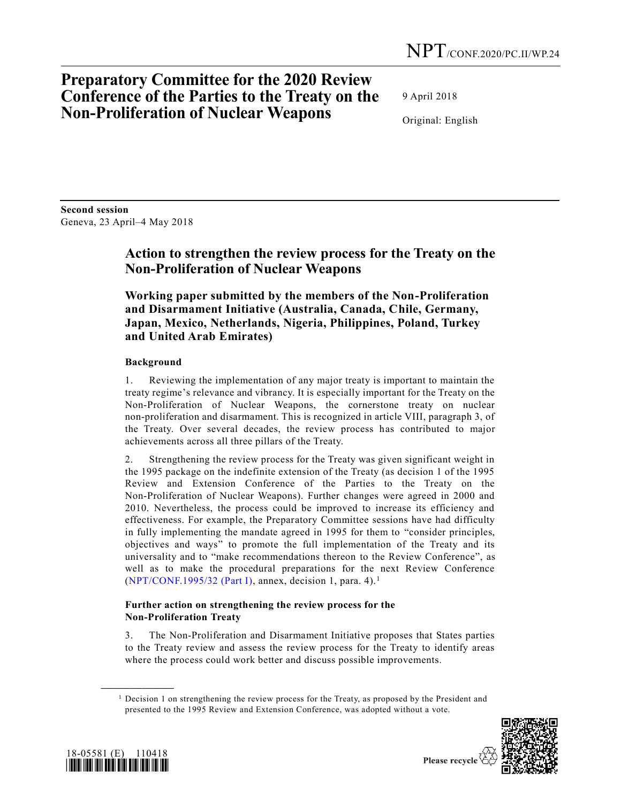# **Preparatory Committee for the 2020 Review Conference of the Parties to the Treaty on the Non-Proliferation of Nuclear Weapons**

9 April 2018

Original: English

**Second session** Geneva, 23 April–4 May 2018

# **Action to strengthen the review process for the Treaty on the Non-Proliferation of Nuclear Weapons**

**Working paper submitted by the members of the Non-Proliferation and Disarmament Initiative (Australia, Canada, Chile, Germany, Japan, Mexico, Netherlands, Nigeria, Philippines, Poland, Turkey and United Arab Emirates)**

## **Background**

1. Reviewing the implementation of any major treaty is important to maintain the treaty regime's relevance and vibrancy. It is especially important for the Treaty on the Non-Proliferation of Nuclear Weapons, the cornerstone treaty on nuclear non-proliferation and disarmament. This is recognized in article VIII, paragraph 3, of the Treaty. Over several decades, the review process has contributed to major achievements across all three pillars of the Treaty.

2. Strengthening the review process for the Treaty was given significant weight in the 1995 package on the indefinite extension of the Treaty (as decision 1 of the 1995 Review and Extension Conference of the Parties to the Treaty on the Non-Proliferation of Nuclear Weapons). Further changes were agreed in 2000 and 2010. Nevertheless, the process could be improved to increase its efficiency and effectiveness. For example, the Preparatory Committee sessions have had difficulty in fully implementing the mandate agreed in 1995 for them to "consider principles, objectives and ways" to promote the full implementation of the Treaty and its universality and to "make recommendations thereon to the Review Conference", as well as to make the procedural preparations for the next Review Conference [\(NPT/CONF.1995/32 \(Part I\),](https://undocs.org/NPT/CONF.1995/32(PartI)) annex, decision 1, para. 4).<sup>1</sup>

### **Further action on strengthening the review process for the Non-Proliferation Treaty**

3. The Non-Proliferation and Disarmament Initiative proposes that States parties to the Treaty review and assess the review process for the Treaty to identify areas where the process could work better and discuss possible improvements.

 $<sup>1</sup>$  Decision 1 on strengthening the review process for the Treaty, as proposed by the President and</sup> presented to the 1995 Review and Extension Conference, was adopted without a vote.





**\_\_\_\_\_\_\_\_\_\_\_\_\_\_\_\_\_\_**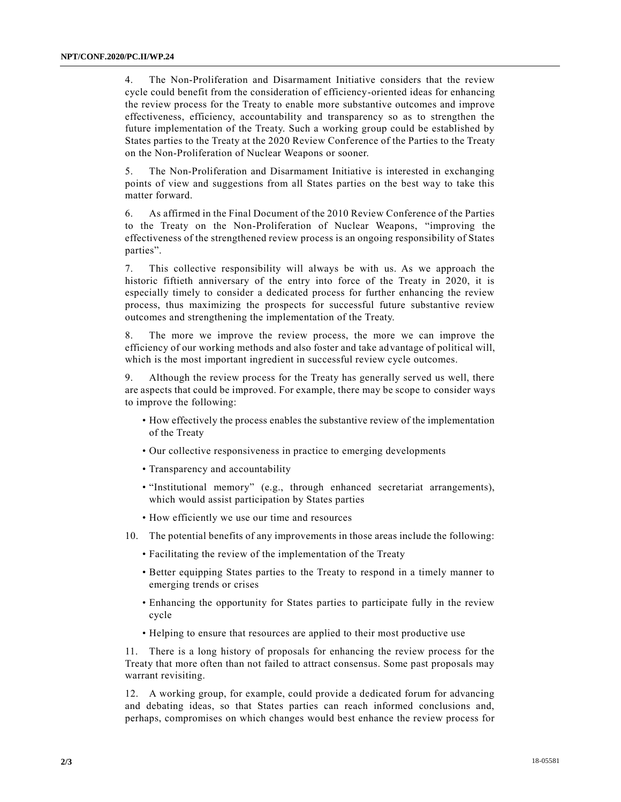4. The Non-Proliferation and Disarmament Initiative considers that the review cycle could benefit from the consideration of efficiency-oriented ideas for enhancing the review process for the Treaty to enable more substantive outcomes and improve effectiveness, efficiency, accountability and transparency so as to strengthen the future implementation of the Treaty. Such a working group could be established by States parties to the Treaty at the 2020 Review Conference of the Parties to the Treaty on the Non-Proliferation of Nuclear Weapons or sooner.

5. The Non-Proliferation and Disarmament Initiative is interested in exchanging points of view and suggestions from all States parties on the best way to take this matter forward.

6. As affirmed in the Final Document of the 2010 Review Conference of the Parties to the Treaty on the Non-Proliferation of Nuclear Weapons, "improving the effectiveness of the strengthened review process is an ongoing responsibility of States parties".

7. This collective responsibility will always be with us. As we approach the historic fiftieth anniversary of the entry into force of the Treaty in 2020, it is especially timely to consider a dedicated process for further enhancing the review process, thus maximizing the prospects for successful future substantive review outcomes and strengthening the implementation of the Treaty.

8. The more we improve the review process, the more we can improve the efficiency of our working methods and also foster and take advantage of political will, which is the most important ingredient in successful review cycle outcomes.

9. Although the review process for the Treaty has generally served us well, there are aspects that could be improved. For example, there may be scope to consider ways to improve the following:

- How effectively the process enables the substantive review of the implementation of the Treaty
- Our collective responsiveness in practice to emerging developments
- Transparency and accountability
- "Institutional memory" (e.g., through enhanced secretariat arrangements), which would assist participation by States parties
- How efficiently we use our time and resources
- 10. The potential benefits of any improvements in those areas include the following:
	- Facilitating the review of the implementation of the Treaty
	- Better equipping States parties to the Treaty to respond in a timely manner to emerging trends or crises
	- Enhancing the opportunity for States parties to participate fully in the review cycle
	- Helping to ensure that resources are applied to their most productive use

11. There is a long history of proposals for enhancing the review process for the Treaty that more often than not failed to attract consensus. Some past proposals may warrant revisiting.

12. A working group, for example, could provide a dedicated forum for advancing and debating ideas, so that States parties can reach informed conclusions and, perhaps, compromises on which changes would best enhance the review process for